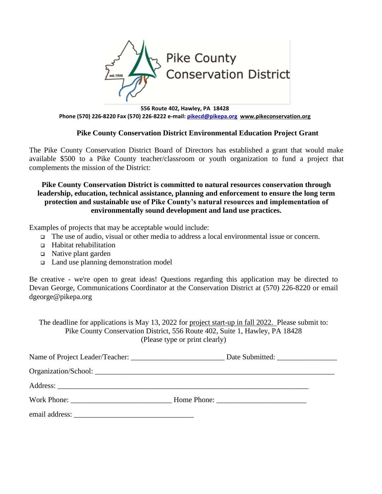

**556 Route 402, Hawley, PA 18428 Phone (570) 226-8220 Fax (570) 226-8222 e-mail: [pikecd@pikepa.org](mailto:pikecd@pikepa.org) [www.pikeconservation.org](http://www.pikeconservation.org/)**

## **Pike County Conservation District Environmental Education Project Grant**

The Pike County Conservation District Board of Directors has established a grant that would make available \$500 to a Pike County teacher/classroom or youth organization to fund a project that complements the mission of the District:

## **Pike County Conservation District is committed to natural resources conservation through leadership, education, technical assistance, planning and enforcement to ensure the long term protection and sustainable use of Pike County's natural resources and implementation of environmentally sound development and land use practices.**

Examples of projects that may be acceptable would include:

- ❑ The use of audio, visual or other media to address a local environmental issue or concern.
- ❑ Habitat rehabilitation
- ❑ Native plant garden
- ❑ Land use planning demonstration model

Be creative - we're open to great ideas! Questions regarding this application may be directed to Devan George, Communications Coordinator at the Conservation District at (570) 226-8220 or email dgeorge@pikepa.org

The deadline for applications is May 13, 2022 for project start-up in fall 2022. Please submit to: Pike County Conservation District, 556 Route 402, Suite 1, Hawley, PA 18428 (Please type or print clearly)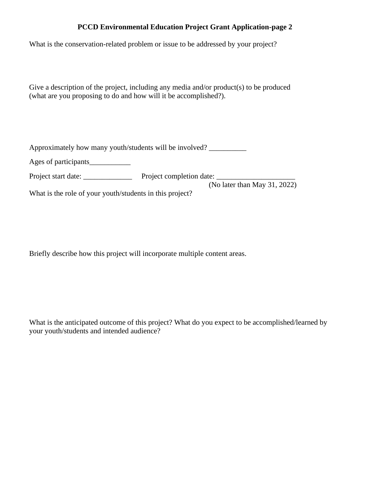## **PCCD Environmental Education Project Grant Application-page 2**

What is the conservation-related problem or issue to be addressed by your project?

Give a description of the project, including any media and/or product(s) to be produced (what are you proposing to do and how will it be accomplished?).

Approximately how many youth/students will be involved?

Ages of participants

Project start date: \_\_\_\_\_\_\_\_\_\_\_\_\_ Project completion date: \_\_\_\_\_\_\_\_\_\_\_\_\_\_\_\_\_\_\_\_\_

(No later than May 31, 2022)

What is the role of your youth/students in this project?

Briefly describe how this project will incorporate multiple content areas.

What is the anticipated outcome of this project? What do you expect to be accomplished/learned by your youth/students and intended audience?